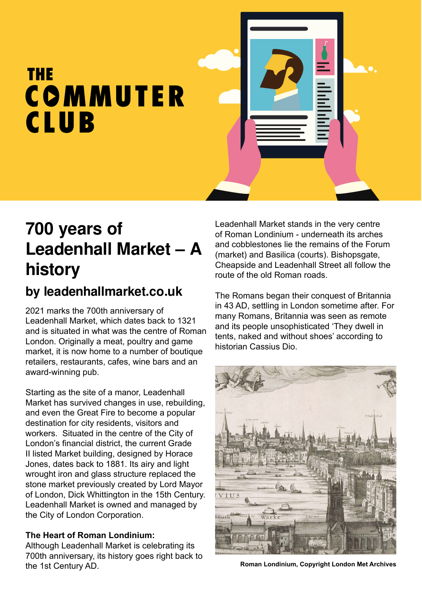# **THE** COMMUTER **CLUB**

### **700 years of Leadenhall Market – A history**

### **by leadenhallmarket.co.uk**

2021 marks the 700th anniversary of Leadenhall Market, which dates back to 1321 and is situated in what was the centre of Roman London. Originally a meat, poultry and game market, it is now home to a number of boutique retailers, restaurants, cafes, wine bars and an award-winning pub.

Starting as the site of a manor, Leadenhall Market has survived changes in use, rebuilding, and even the Great Fire to become a popular destination for city residents, visitors and workers. Situated in the centre of the City of London's financial district, the current Grade II listed Market building, designed by Horace Jones, dates back to 1881. Its airy and light wrought iron and glass structure replaced the stone market previously created by Lord Mayor of London, Dick Whittington in the 15th Century. Leadenhall Market is owned and managed by the City of London Corporation.

#### **The Heart of Roman Londinium:**

Although Leadenhall Market is celebrating its 700th anniversary, its history goes right back to the 1st Century AD.

Leadenhall Market stands in the very centre of Roman Londinium - underneath its arches and cobblestones lie the remains of the Forum (market) and Basilica (courts). Bishopsgate, Cheapside and Leadenhall Street all follow the route of the old Roman roads.

The Romans began their conquest of Britannia in 43 AD, settling in London sometime after. For many Romans, Britannia was seen as remote and its people unsophisticated 'They dwell in tents, naked and without shoes' according to historian Cassius Dio.



**Roman Londinium, Copyright London Met Archives**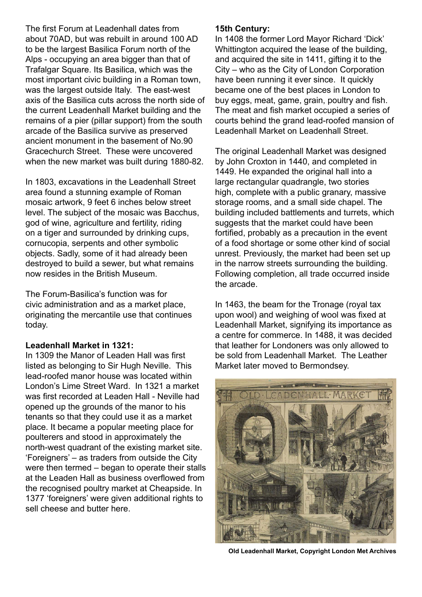The first Forum at Leadenhall dates from about 70AD, but was rebuilt in around 100 AD to be the largest Basilica Forum north of the Alps - occupying an area bigger than that of Trafalgar Square. Its Basilica, which was the most important civic building in a Roman town, was the largest outside Italy. The east-west axis of the Basilica cuts across the north side of the current Leadenhall Market building and the remains of a pier (pillar support) from the south arcade of the Basilica survive as preserved ancient monument in the basement of No.90 Gracechurch Street. These were uncovered when the new market was built during 1880-82.

In 1803, excavations in the Leadenhall Street area found a stunning example of Roman mosaic artwork, 9 feet 6 inches below street level. The subject of the mosaic was Bacchus, god of wine, agriculture and fertility, riding on a tiger and surrounded by drinking cups, cornucopia, serpents and other symbolic objects. Sadly, some of it had already been destroyed to build a sewer, but what remains now resides in the British Museum.

The Forum-Basilica's function was for civic administration and as a market place, originating the mercantile use that continues today.

#### **Leadenhall Market in 1321:**

In 1309 the Manor of Leaden Hall was first listed as belonging to Sir Hugh Neville. This lead-roofed manor house was located within London's Lime Street Ward. In 1321 a market was first recorded at Leaden Hall - Neville had opened up the grounds of the manor to his tenants so that they could use it as a market place. It became a popular meeting place for poulterers and stood in approximately the north-west quadrant of the existing market site. 'Foreigners' – as traders from outside the City were then termed – began to operate their stalls at the Leaden Hall as business overflowed from the recognised poultry market at Cheapside. In 1377 'foreigners' were given additional rights to sell cheese and butter here.

#### **15th Century:**

In 1408 the former Lord Mayor Richard 'Dick' Whittington acquired the lease of the building, and acquired the site in 1411, gifting it to the City – who as the City of London Corporation have been running it ever since. It quickly became one of the best places in London to buy eggs, meat, game, grain, poultry and fish. The meat and fish market occupied a series of courts behind the grand lead-roofed mansion of Leadenhall Market on Leadenhall Street.

The original Leadenhall Market was designed by John Croxton in 1440, and completed in 1449. He expanded the original hall into a large rectangular quadrangle, two stories high, complete with a public granary, massive storage rooms, and a small side chapel. The building included battlements and turrets, which suggests that the market could have been fortified, probably as a precaution in the event of a food shortage or some other kind of social unrest. Previously, the market had been set up in the narrow streets surrounding the building. Following completion, all trade occurred inside the arcade.

In 1463, the beam for the Tronage (royal tax upon wool) and weighing of wool was fixed at Leadenhall Market, signifying its importance as a centre for commerce. In 1488, it was decided that leather for Londoners was only allowed to be sold from Leadenhall Market. The Leather Market later moved to Bermondsey.



**Old Leadenhall Market, Copyright London Met Archives**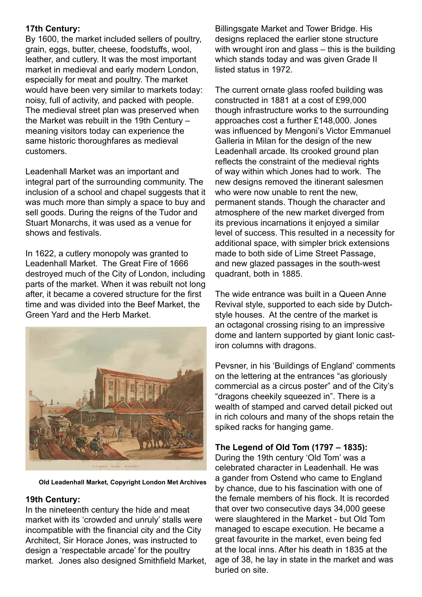#### **17th Century:**

By 1600, the market included sellers of poultry, grain, eggs, butter, cheese, foodstuffs, wool, leather, and cutlery. It was the most important market in medieval and early modern London, especially for meat and poultry. The market would have been very similar to markets today: noisy, full of activity, and packed with people. The medieval street plan was preserved when the Market was rebuilt in the 19th Century – meaning visitors today can experience the same historic thoroughfares as medieval customers.

Leadenhall Market was an important and integral part of the surrounding community. The inclusion of a school and chapel suggests that it was much more than simply a space to buy and sell goods. During the reigns of the Tudor and Stuart Monarchs, it was used as a venue for shows and festivals.

In 1622, a cutlery monopoly was granted to Leadenhall Market. The Great Fire of 1666 destroyed much of the City of London, including parts of the market. When it was rebuilt not long after, it became a covered structure for the first time and was divided into the Beef Market, the Green Yard and the Herb Market.



**Old Leadenhall Market, Copyright London Met Archives**

#### **19th Century:**

In the nineteenth century the hide and meat market with its 'crowded and unruly' stalls were incompatible with the financial city and the City Architect, Sir Horace Jones, was instructed to design a 'respectable arcade' for the poultry market. Jones also designed Smithfield Market, Billingsgate Market and Tower Bridge. His designs replaced the earlier stone structure with wrought iron and glass – this is the building which stands today and was given Grade II listed status in 1972.

The current ornate glass roofed building was constructed in 1881 at a cost of £99,000 though infrastructure works to the surrounding approaches cost a further £148,000. Jones was influenced by Mengoni's Victor Emmanuel Galleria in Milan for the design of the new Leadenhall arcade. Its crooked ground plan reflects the constraint of the medieval rights of way within which Jones had to work. The new designs removed the itinerant salesmen who were now unable to rent the new. permanent stands. Though the character and atmosphere of the new market diverged from its previous incarnations it enjoyed a similar level of success. This resulted in a necessity for additional space, with simpler brick extensions made to both side of Lime Street Passage, and new glazed passages in the south-west quadrant, both in 1885.

The wide entrance was built in a Queen Anne Revival style, supported to each side by Dutchstyle houses. At the centre of the market is an octagonal crossing rising to an impressive dome and lantern supported by giant Ionic castiron columns with dragons.

Pevsner, in his 'Buildings of England' comments on the lettering at the entrances "as gloriously commercial as a circus poster" and of the City's "dragons cheekily squeezed in". There is a wealth of stamped and carved detail picked out in rich colours and many of the shops retain the spiked racks for hanging game.

#### **The Legend of Old Tom (1797 – 1835):**

During the 19th century 'Old Tom' was a celebrated character in Leadenhall. He was a gander from Ostend who came to England by chance, due to his fascination with one of the female members of his flock. It is recorded that over two consecutive days 34,000 geese were slaughtered in the Market - but Old Tom managed to escape execution. He became a great favourite in the market, even being fed at the local inns. After his death in 1835 at the age of 38, he lay in state in the market and was buried on site.